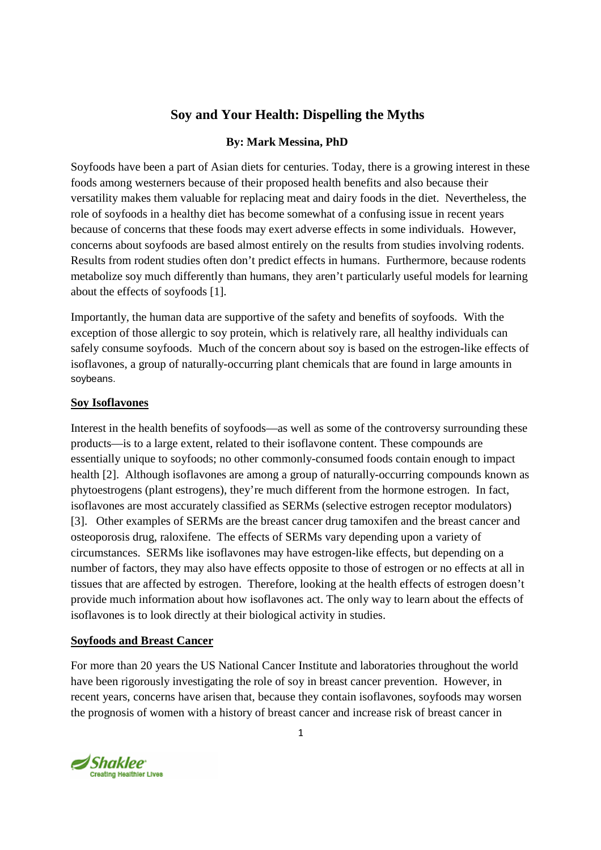# **Soy and Your Health: Dispelling the Myths**

### **By: Mark Messina, PhD**

Soyfoods have been a part of Asian diets for centuries. Today, there is a growing interest in these foods among westerners because of their proposed health benefits and also because their versatility makes them valuable for replacing meat and dairy foods in the diet. Nevertheless, the role of soyfoods in a healthy diet has become somewhat of a confusing issue in recent years because of concerns that these foods may exert adverse effects in some individuals. However, concerns about soyfoods are based almost entirely on the results from studies involving rodents. Results from rodent studies often don't predict effects in humans. Furthermore, because rodents metabolize soy much differently than humans, they aren't particularly useful models for learning about the effects of soyfoods [1].

Importantly, the human data are supportive of the safety and benefits of soyfoods. With the exception of those allergic to soy protein, which is relatively rare, all healthy individuals can safely consume soyfoods. Much of the concern about soy is based on the estrogen-like effects of isoflavones, a group of naturally-occurring plant chemicals that are found in large amounts in soybeans.

### **Soy Isoflavones**

Interest in the health benefits of soyfoods—as well as some of the controversy surrounding these products—is to a large extent, related to their isoflavone content. These compounds are essentially unique to soyfoods; no other commonly-consumed foods contain enough to impact health [2]. Although isoflavones are among a group of naturally-occurring compounds known as phytoestrogens (plant estrogens), they're much different from the hormone estrogen. In fact, isoflavones are most accurately classified as SERMs (selective estrogen receptor modulators) [3]. Other examples of SERMs are the breast cancer drug tamoxifen and the breast cancer and osteoporosis drug, raloxifene. The effects of SERMs vary depending upon a variety of circumstances. SERMs like isoflavones may have estrogen-like effects, but depending on a number of factors, they may also have effects opposite to those of estrogen or no effects at all in tissues that are affected by estrogen. Therefore, looking at the health effects of estrogen doesn't provide much information about how isoflavones act. The only way to learn about the effects of isoflavones is to look directly at their biological activity in studies.

### **Soyfoods and Breast Cancer**

For more than 20 years the US National Cancer Institute and laboratories throughout the world have been rigorously investigating the role of soy in breast cancer prevention. However, in recent years, concerns have arisen that, because they contain isoflavones, soyfoods may worsen the prognosis of women with a history of breast cancer and increase risk of breast cancer in

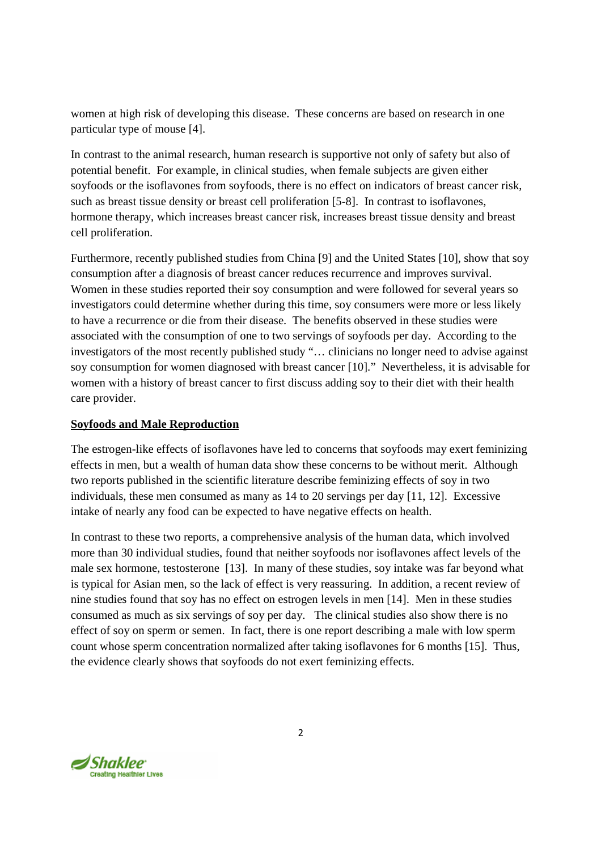women at high risk of developing this disease. These concerns are based on research in one particular type of mouse [4].

In contrast to the animal research, human research is supportive not only of safety but also of potential benefit. For example, in clinical studies, when female subjects are given either soyfoods or the isoflavones from soyfoods, there is no effect on indicators of breast cancer risk, such as breast tissue density or breast cell proliferation [5-8]. In contrast to isoflavones, hormone therapy, which increases breast cancer risk, increases breast tissue density and breast cell proliferation.

Furthermore, recently published studies from China [9] and the United States [10], show that soy consumption after a diagnosis of breast cancer reduces recurrence and improves survival. Women in these studies reported their soy consumption and were followed for several years so investigators could determine whether during this time, soy consumers were more or less likely to have a recurrence or die from their disease. The benefits observed in these studies were associated with the consumption of one to two servings of soyfoods per day. According to the investigators of the most recently published study "… clinicians no longer need to advise against soy consumption for women diagnosed with breast cancer [10]." Nevertheless, it is advisable for women with a history of breast cancer to first discuss adding soy to their diet with their health care provider.

### **Soyfoods and Male Reproduction**

The estrogen-like effects of isoflavones have led to concerns that soyfoods may exert feminizing effects in men, but a wealth of human data show these concerns to be without merit. Although two reports published in the scientific literature describe feminizing effects of soy in two individuals, these men consumed as many as 14 to 20 servings per day [11, 12]. Excessive intake of nearly any food can be expected to have negative effects on health.

In contrast to these two reports, a comprehensive analysis of the human data, which involved more than 30 individual studies, found that neither soyfoods nor isoflavones affect levels of the male sex hormone, testosterone [13]. In many of these studies, soy intake was far beyond what is typical for Asian men, so the lack of effect is very reassuring. In addition, a recent review of nine studies found that soy has no effect on estrogen levels in men [14]. Men in these studies consumed as much as six servings of soy per day. The clinical studies also show there is no effect of soy on sperm or semen. In fact, there is one report describing a male with low sperm count whose sperm concentration normalized after taking isoflavones for 6 months [15]. Thus, the evidence clearly shows that soyfoods do not exert feminizing effects.

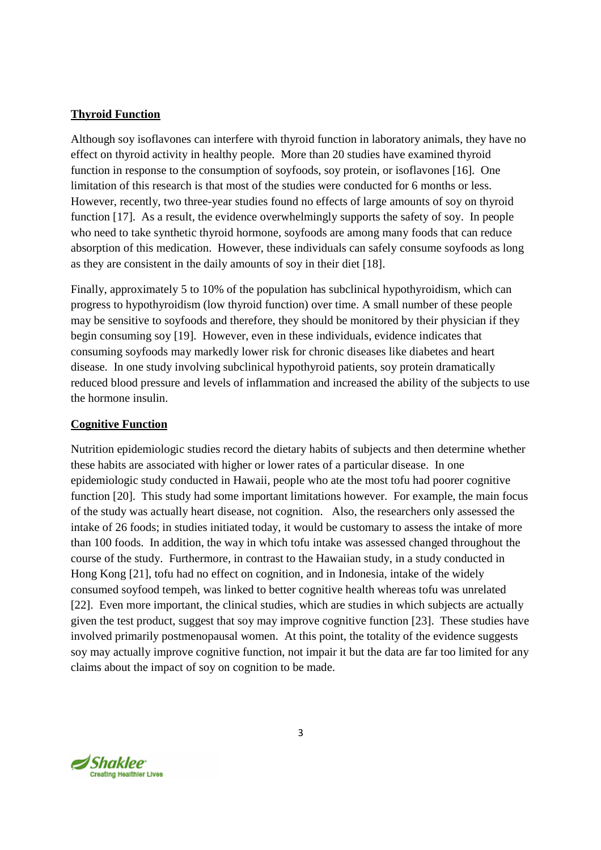# **Thyroid Function**

Although soy isoflavones can interfere with thyroid function in laboratory animals, they have no effect on thyroid activity in healthy people. More than 20 studies have examined thyroid function in response to the consumption of soyfoods, soy protein, or isoflavones [16]. One limitation of this research is that most of the studies were conducted for 6 months or less. However, recently, two three-year studies found no effects of large amounts of soy on thyroid function [17]. As a result, the evidence overwhelmingly supports the safety of soy. In people who need to take synthetic thyroid hormone, soyfoods are among many foods that can reduce absorption of this medication. However, these individuals can safely consume soyfoods as long as they are consistent in the daily amounts of soy in their diet [18].

Finally, approximately 5 to 10% of the population has subclinical hypothyroidism, which can progress to hypothyroidism (low thyroid function) over time. A small number of these people may be sensitive to soyfoods and therefore, they should be monitored by their physician if they begin consuming soy [19]. However, even in these individuals, evidence indicates that consuming soyfoods may markedly lower risk for chronic diseases like diabetes and heart disease. In one study involving subclinical hypothyroid patients, soy protein dramatically reduced blood pressure and levels of inflammation and increased the ability of the subjects to use the hormone insulin.

#### **Cognitive Function**

Nutrition epidemiologic studies record the dietary habits of subjects and then determine whether these habits are associated with higher or lower rates of a particular disease. In one epidemiologic study conducted in Hawaii, people who ate the most tofu had poorer cognitive function [20]. This study had some important limitations however. For example, the main focus of the study was actually heart disease, not cognition. Also, the researchers only assessed the intake of 26 foods; in studies initiated today, it would be customary to assess the intake of more than 100 foods. In addition, the way in which tofu intake was assessed changed throughout the course of the study. Furthermore, in contrast to the Hawaiian study, in a study conducted in Hong Kong [21], tofu had no effect on cognition, and in Indonesia, intake of the widely consumed soyfood tempeh, was linked to better cognitive health whereas tofu was unrelated [22]. Even more important, the clinical studies, which are studies in which subjects are actually given the test product, suggest that soy may improve cognitive function [23]. These studies have involved primarily postmenopausal women. At this point, the totality of the evidence suggests soy may actually improve cognitive function, not impair it but the data are far too limited for any claims about the impact of soy on cognition to be made.

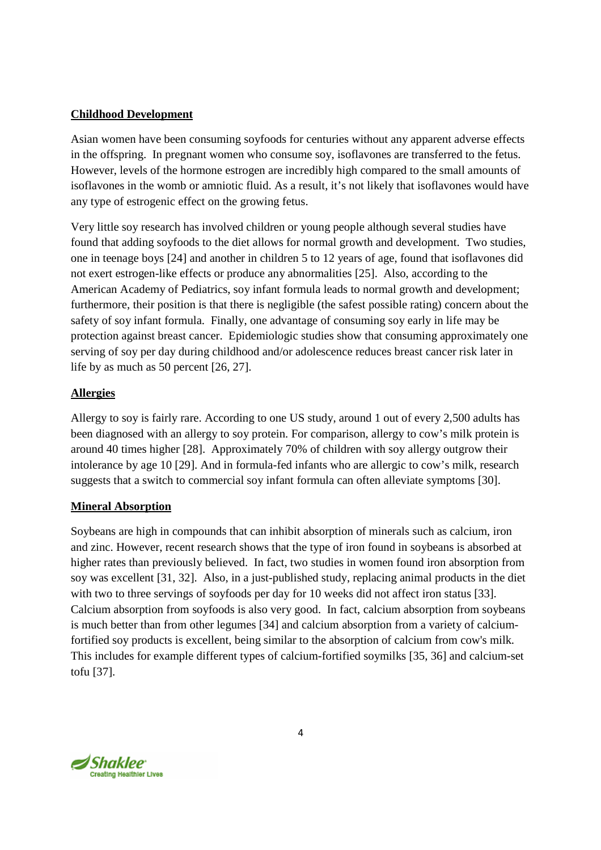# **Childhood Development**

Asian women have been consuming soyfoods for centuries without any apparent adverse effects in the offspring. In pregnant women who consume soy, isoflavones are transferred to the fetus. However, levels of the hormone estrogen are incredibly high compared to the small amounts of isoflavones in the womb or amniotic fluid. As a result, it's not likely that isoflavones would have any type of estrogenic effect on the growing fetus.

Very little soy research has involved children or young people although several studies have found that adding soyfoods to the diet allows for normal growth and development. Two studies, one in teenage boys [24] and another in children 5 to 12 years of age, found that isoflavones did not exert estrogen-like effects or produce any abnormalities [25]. Also, according to the American Academy of Pediatrics, soy infant formula leads to normal growth and development; furthermore, their position is that there is negligible (the safest possible rating) concern about the safety of soy infant formula. Finally, one advantage of consuming soy early in life may be protection against breast cancer. Epidemiologic studies show that consuming approximately one serving of soy per day during childhood and/or adolescence reduces breast cancer risk later in life by as much as 50 percent [26, 27].

### **Allergies**

Allergy to soy is fairly rare. According to one US study, around 1 out of every 2,500 adults has been diagnosed with an allergy to soy protein. For comparison, allergy to cow's milk protein is around 40 times higher [28]. Approximately 70% of children with soy allergy outgrow their intolerance by age 10 [29]. And in formula-fed infants who are allergic to cow's milk, research suggests that a switch to commercial soy infant formula can often alleviate symptoms [30].

### **Mineral Absorption**

Soybeans are high in compounds that can inhibit absorption of minerals such as calcium, iron and zinc. However, recent research shows that the type of iron found in soybeans is absorbed at higher rates than previously believed. In fact, two studies in women found iron absorption from soy was excellent [31, 32]. Also, in a just-published study, replacing animal products in the diet with two to three servings of soyfoods per day for 10 weeks did not affect iron status [33]. Calcium absorption from soyfoods is also very good. In fact, calcium absorption from soybeans is much better than from other legumes [34] and calcium absorption from a variety of calciumfortified soy products is excellent, being similar to the absorption of calcium from cow's milk. This includes for example different types of calcium-fortified soymilks [35, 36] and calcium-set tofu [37].

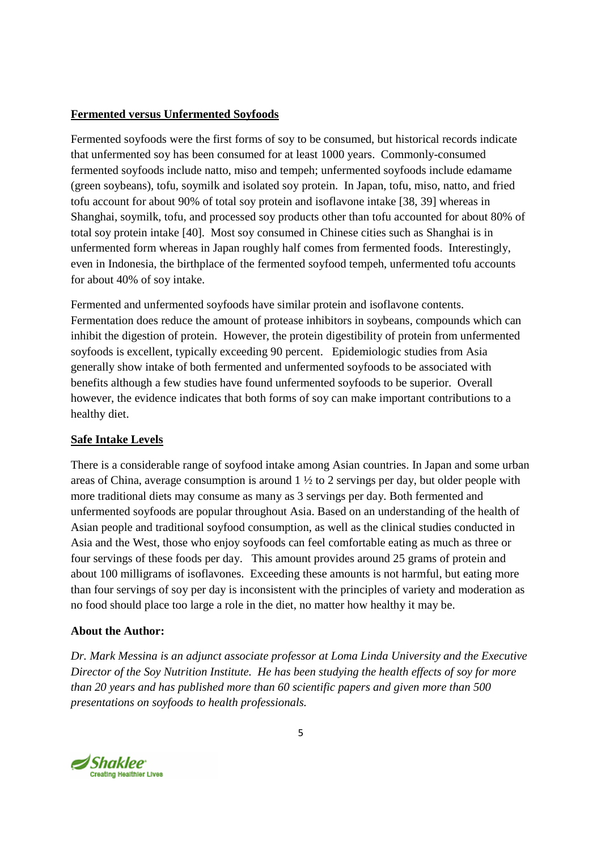# **Fermented versus Unfermented Soyfoods**

Fermented soyfoods were the first forms of soy to be consumed, but historical records indicate that unfermented soy has been consumed for at least 1000 years. Commonly-consumed fermented soyfoods include natto, miso and tempeh; unfermented soyfoods include edamame (green soybeans), tofu, soymilk and isolated soy protein. In Japan, tofu, miso, natto, and fried tofu account for about 90% of total soy protein and isoflavone intake [38, 39] whereas in Shanghai, soymilk, tofu, and processed soy products other than tofu accounted for about 80% of total soy protein intake [40]. Most soy consumed in Chinese cities such as Shanghai is in unfermented form whereas in Japan roughly half comes from fermented foods. Interestingly, even in Indonesia, the birthplace of the fermented soyfood tempeh, unfermented tofu accounts for about 40% of soy intake.

Fermented and unfermented soyfoods have similar protein and isoflavone contents. Fermentation does reduce the amount of protease inhibitors in soybeans, compounds which can inhibit the digestion of protein. However, the protein digestibility of protein from unfermented soyfoods is excellent, typically exceeding 90 percent. Epidemiologic studies from Asia generally show intake of both fermented and unfermented soyfoods to be associated with benefits although a few studies have found unfermented soyfoods to be superior. Overall however, the evidence indicates that both forms of soy can make important contributions to a healthy diet.

# **Safe Intake Levels**

There is a considerable range of soyfood intake among Asian countries. In Japan and some urban areas of China, average consumption is around  $1\frac{1}{2}$  to 2 servings per day, but older people with more traditional diets may consume as many as 3 servings per day. Both fermented and unfermented soyfoods are popular throughout Asia. Based on an understanding of the health of Asian people and traditional soyfood consumption, as well as the clinical studies conducted in Asia and the West, those who enjoy soyfoods can feel comfortable eating as much as three or four servings of these foods per day. This amount provides around 25 grams of protein and about 100 milligrams of isoflavones. Exceeding these amounts is not harmful, but eating more than four servings of soy per day is inconsistent with the principles of variety and moderation as no food should place too large a role in the diet, no matter how healthy it may be.

### **About the Author:**

*Dr. Mark Messina is an adjunct associate professor at Loma Linda University and the Executive Director of the Soy Nutrition Institute. He has been studying the health effects of soy for more than 20 years and has published more than 60 scientific papers and given more than 500 presentations on soyfoods to health professionals.* 

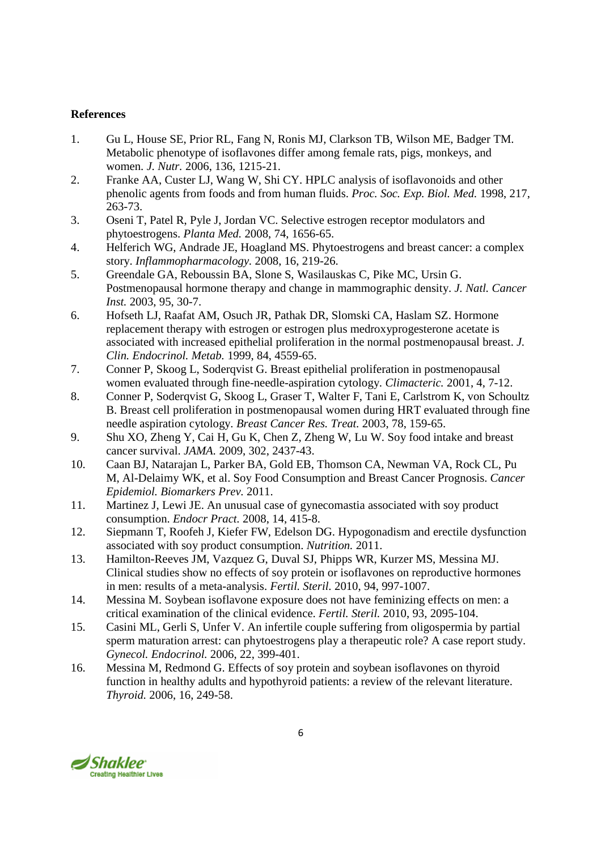### **References**

- 1. Gu L, House SE, Prior RL, Fang N, Ronis MJ, Clarkson TB, Wilson ME, Badger TM. Metabolic phenotype of isoflavones differ among female rats, pigs, monkeys, and women. *J. Nutr.* 2006, 136, 1215-21.
- 2. Franke AA, Custer LJ, Wang W, Shi CY. HPLC analysis of isoflavonoids and other phenolic agents from foods and from human fluids. *Proc. Soc. Exp. Biol. Med.* 1998, 217, 263-73.
- 3. Oseni T, Patel R, Pyle J, Jordan VC. Selective estrogen receptor modulators and phytoestrogens. *Planta Med.* 2008, 74, 1656-65.
- 4. Helferich WG, Andrade JE, Hoagland MS. Phytoestrogens and breast cancer: a complex story. *Inflammopharmacology.* 2008, 16, 219-26.
- 5. Greendale GA, Reboussin BA, Slone S, Wasilauskas C, Pike MC, Ursin G. Postmenopausal hormone therapy and change in mammographic density. *J. Natl. Cancer Inst.* 2003, 95, 30-7.
- 6. Hofseth LJ, Raafat AM, Osuch JR, Pathak DR, Slomski CA, Haslam SZ. Hormone replacement therapy with estrogen or estrogen plus medroxyprogesterone acetate is associated with increased epithelial proliferation in the normal postmenopausal breast. *J. Clin. Endocrinol. Metab.* 1999, 84, 4559-65.
- 7. Conner P, Skoog L, Soderqvist G. Breast epithelial proliferation in postmenopausal women evaluated through fine-needle-aspiration cytology. *Climacteric.* 2001, 4, 7-12.
- 8. Conner P, Soderqvist G, Skoog L, Graser T, Walter F, Tani E, Carlstrom K, von Schoultz B. Breast cell proliferation in postmenopausal women during HRT evaluated through fine needle aspiration cytology. *Breast Cancer Res. Treat.* 2003, 78, 159-65.
- 9. Shu XO, Zheng Y, Cai H, Gu K, Chen Z, Zheng W, Lu W. Soy food intake and breast cancer survival. *JAMA.* 2009, 302, 2437-43.
- 10. Caan BJ, Natarajan L, Parker BA, Gold EB, Thomson CA, Newman VA, Rock CL, Pu M, Al-Delaimy WK, et al. Soy Food Consumption and Breast Cancer Prognosis. *Cancer Epidemiol. Biomarkers Prev.* 2011.
- 11. Martinez J, Lewi JE. An unusual case of gynecomastia associated with soy product consumption. *Endocr Pract.* 2008, 14, 415-8.
- 12. Siepmann T, Roofeh J, Kiefer FW, Edelson DG. Hypogonadism and erectile dysfunction associated with soy product consumption. *Nutrition.* 2011.
- 13. Hamilton-Reeves JM, Vazquez G, Duval SJ, Phipps WR, Kurzer MS, Messina MJ. Clinical studies show no effects of soy protein or isoflavones on reproductive hormones in men: results of a meta-analysis. *Fertil. Steril.* 2010, 94, 997-1007.
- 14. Messina M. Soybean isoflavone exposure does not have feminizing effects on men: a critical examination of the clinical evidence. *Fertil. Steril.* 2010, 93, 2095-104.
- 15. Casini ML, Gerli S, Unfer V. An infertile couple suffering from oligospermia by partial sperm maturation arrest: can phytoestrogens play a therapeutic role? A case report study. *Gynecol. Endocrinol.* 2006, 22, 399-401.
- 16. Messina M, Redmond G. Effects of soy protein and soybean isoflavones on thyroid function in healthy adults and hypothyroid patients: a review of the relevant literature. *Thyroid.* 2006, 16, 249-58.

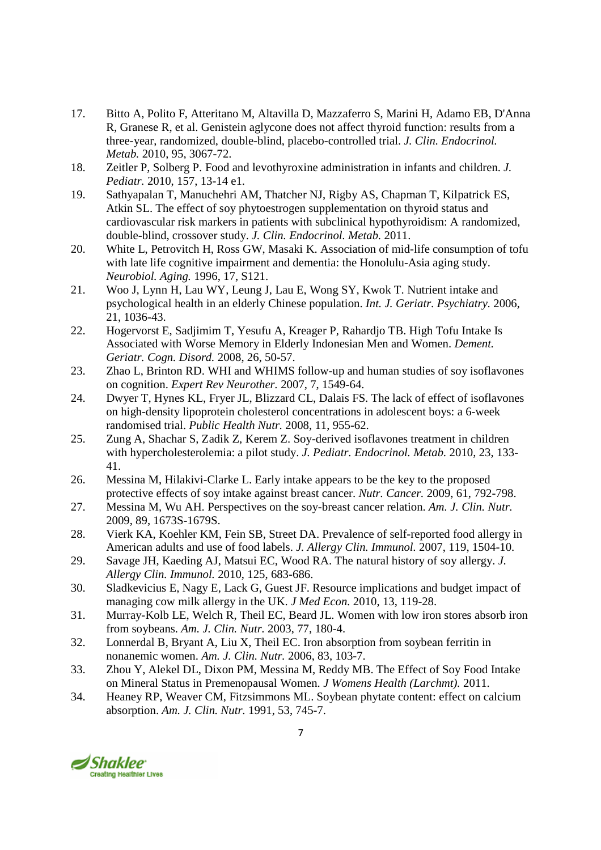- 17. Bitto A, Polito F, Atteritano M, Altavilla D, Mazzaferro S, Marini H, Adamo EB, D'Anna R, Granese R, et al. Genistein aglycone does not affect thyroid function: results from a three-year, randomized, double-blind, placebo-controlled trial. *J. Clin. Endocrinol. Metab.* 2010, 95, 3067-72.
- 18. Zeitler P, Solberg P. Food and levothyroxine administration in infants and children. *J. Pediatr.* 2010, 157, 13-14 e1.
- 19. Sathyapalan T, Manuchehri AM, Thatcher NJ, Rigby AS, Chapman T, Kilpatrick ES, Atkin SL. The effect of soy phytoestrogen supplementation on thyroid status and cardiovascular risk markers in patients with subclinical hypothyroidism: A randomized, double-blind, crossover study. *J. Clin. Endocrinol. Metab.* 2011.
- 20. White L, Petrovitch H, Ross GW, Masaki K. Association of mid-life consumption of tofu with late life cognitive impairment and dementia: the Honolulu-Asia aging study. *Neurobiol. Aging.* 1996, 17, S121.
- 21. Woo J, Lynn H, Lau WY, Leung J, Lau E, Wong SY, Kwok T. Nutrient intake and psychological health in an elderly Chinese population. *Int. J. Geriatr. Psychiatry.* 2006, 21, 1036-43.
- 22. Hogervorst E, Sadjimim T, Yesufu A, Kreager P, Rahardjo TB. High Tofu Intake Is Associated with Worse Memory in Elderly Indonesian Men and Women. *Dement. Geriatr. Cogn. Disord.* 2008, 26, 50-57.
- 23. Zhao L, Brinton RD. WHI and WHIMS follow-up and human studies of soy isoflavones on cognition. *Expert Rev Neurother.* 2007, 7, 1549-64.
- 24. Dwyer T, Hynes KL, Fryer JL, Blizzard CL, Dalais FS. The lack of effect of isoflavones on high-density lipoprotein cholesterol concentrations in adolescent boys: a 6-week randomised trial. *Public Health Nutr.* 2008, 11, 955-62.
- 25. Zung A, Shachar S, Zadik Z, Kerem Z. Soy-derived isoflavones treatment in children with hypercholesterolemia: a pilot study. *J. Pediatr. Endocrinol. Metab.* 2010, 23, 133- 41.
- 26. Messina M, Hilakivi-Clarke L. Early intake appears to be the key to the proposed protective effects of soy intake against breast cancer. *Nutr. Cancer.* 2009, 61, 792-798.
- 27. Messina M, Wu AH. Perspectives on the soy-breast cancer relation. *Am. J. Clin. Nutr.*  2009, 89, 1673S-1679S.
- 28. Vierk KA, Koehler KM, Fein SB, Street DA. Prevalence of self-reported food allergy in American adults and use of food labels. *J. Allergy Clin. Immunol.* 2007, 119, 1504-10.
- 29. Savage JH, Kaeding AJ, Matsui EC, Wood RA. The natural history of soy allergy. *J. Allergy Clin. Immunol.* 2010, 125, 683-686.
- 30. Sladkevicius E, Nagy E, Lack G, Guest JF. Resource implications and budget impact of managing cow milk allergy in the UK. *J Med Econ.* 2010, 13, 119-28.
- 31. Murray-Kolb LE, Welch R, Theil EC, Beard JL. Women with low iron stores absorb iron from soybeans. *Am. J. Clin. Nutr.* 2003, 77, 180-4.
- 32. Lonnerdal B, Bryant A, Liu X, Theil EC. Iron absorption from soybean ferritin in nonanemic women. *Am. J. Clin. Nutr.* 2006, 83, 103-7.
- 33. Zhou Y, Alekel DL, Dixon PM, Messina M, Reddy MB. The Effect of Soy Food Intake on Mineral Status in Premenopausal Women. *J Womens Health (Larchmt).* 2011.
- 34. Heaney RP, Weaver CM, Fitzsimmons ML. Soybean phytate content: effect on calcium absorption. *Am. J. Clin. Nutr.* 1991, 53, 745-7.